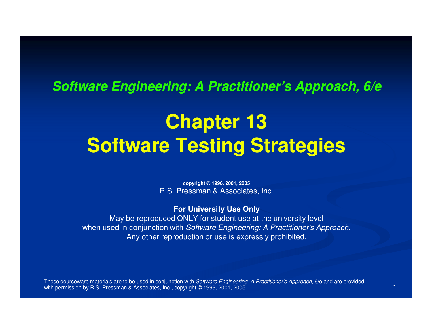### **Software Engineering: A Practitioner's Approach, 6/e**

## **Chapter 13Software Testing Strategies**

**copyright © 1996, 2001, 2005**R.S. Pressman & Associates, Inc.

**For University Use Only**

 May be reproduced ONLY for student use at the university levelwhen used in conjunction with Software Engineering: A Practitioner's Approach. Any other reproduction or use is expressly prohibited.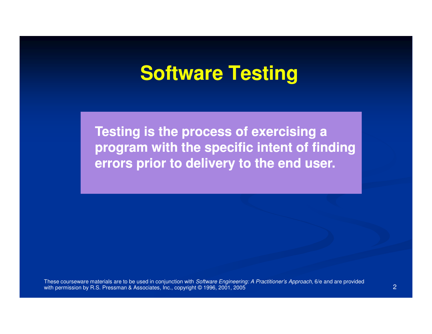### **Software Testing**

**Testing is the process of exercising a program with the specific intent of findingerrors prior to delivery to the end user.**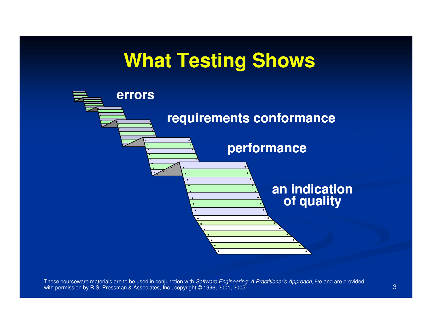### **What Testing Shows**

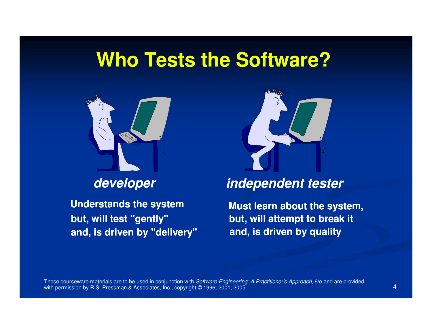### **Who Tests the Software?**



**developer**

**Understands the system but, will test "gently"and, is driven by "delivery"**



### **independent tester**

**Must learn about the system,but, will attempt to break itand, is driven by quality**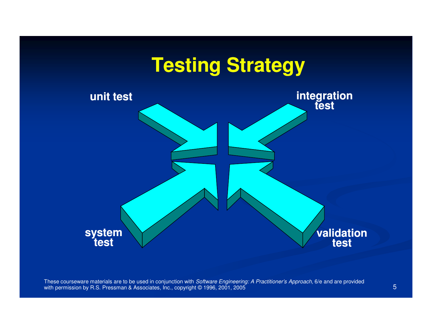## **Testing Strategy**

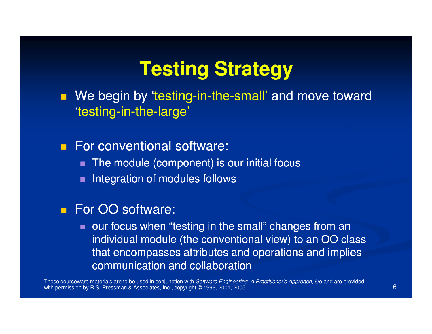### **Testing Strategy**

**Ne begin by 'testing-in-the-small' and move toward** 'testing-in-the-large'

■ For conventional software:

- п The module (component) is our initial focus
- Integration of modules follows

### ■ For OO software:

**DECOUS WHEN "testing in the small" changes from an** individual module (the conventional view) to an OO class that encompasses attributes and operations and implies communication and collaboration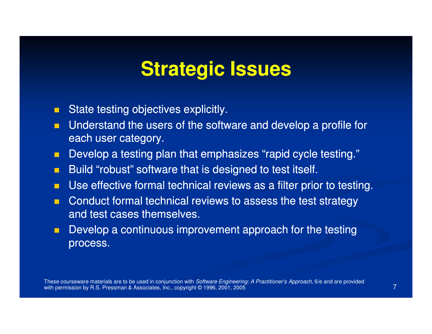### **Strategic Issues**

- $\blacksquare$ State testing objectives explicitly.
- $\blacksquare$  Understand the users of the software and develop a profile for each user category.
- п Develop a testing plan that emphasizes "rapid cycle testing."
- $\blacksquare$ Build "robust" software that is designed to test itself.
- $\Box$ Use effective formal technical reviews as a filter prior to testing.
- m. Conduct formal technical reviews to assess the test strategy and test cases themselves.
- $\blacksquare$  Develop a continuous improvement approach for the testing process.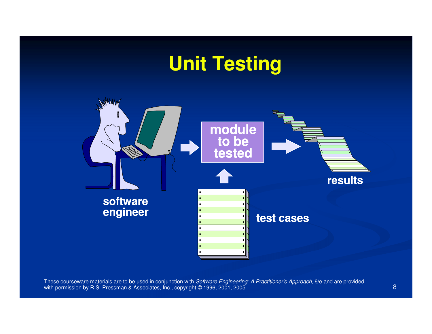## **Unit Testing**



These courseware materials are to be used in conjunction with *Software Engineering: A Practitioner's Approach,* 6/e and are provided with permission by R.S. Pressman & Associates, Inc., copyright © 1996, 2001, 2005 5 and 2014 and 2014 and 2014 and 2014 and 2014 and 2014 and 2014 and 2014 and 2014 and 2014 and 2014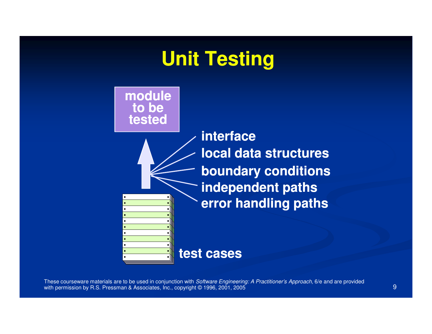### **Unit Testing**



**interface local data structures boundary conditionsindependent pathserror handling paths**

These courseware materials are to be used in conjunction with *Software Engineering: A Practitioner's Approach,* 6/e and are provided with permission by R.S. Pressman & Associates, Inc., copyright © 1996, 2001, 20055 (1994) - Paul Barbara (1995) - Paul Barbara (1995) - Paul Barbara (1996) - Paul Barbara (1996) - Paul Barbar<br>1990 - Paul Barbara (1996) - Paul Barbara (1996) - Paul Barbara (1996) - Paul Barbara (1996) - Paul Barbara (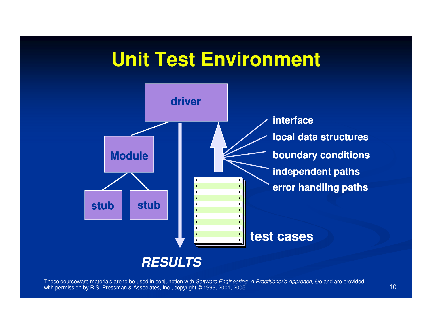### **Unit Test Environment**

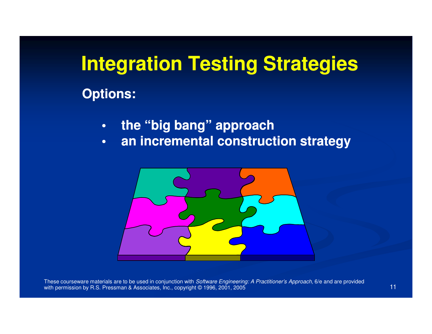## **Integration Testing StrategiesOptions:**

- **• the "big bang" approach**
- **an incremental construction strategy•**

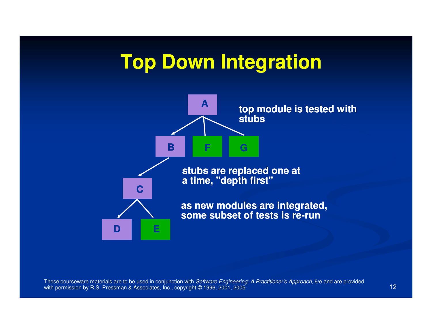### **Top Down Integration**

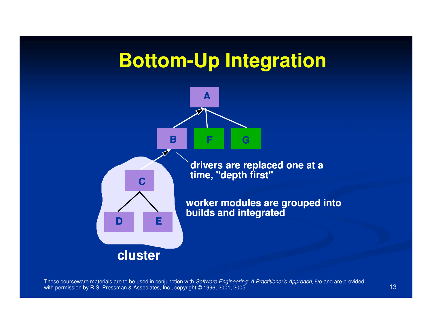# **Bottom-Up Integration**

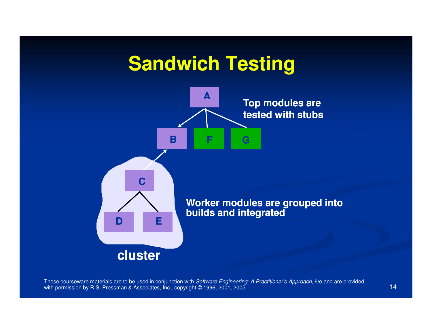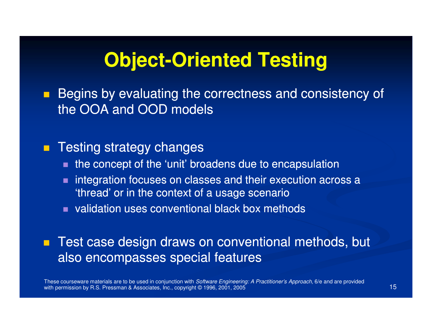# **Object-Oriented Testing Oriented**

 $\blacksquare$  Begins by evaluating the correctness and consistency of the OOA and OOD models

#### $\blacksquare$ Testing strategy changes

- the concept of the 'unit' broadens due to encapsulation
- **nd integration focuses on classes and their execution across a** 'thread' or in the context of a usage scenario
- **validation uses conventional black box methods**

### ■ Test case design draws on conventional methods, but also encompasses special features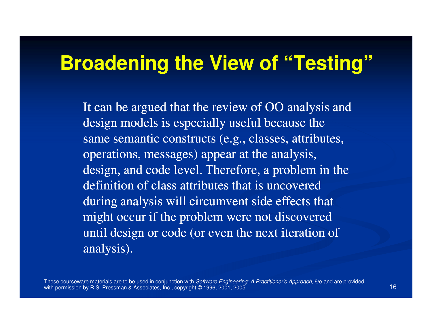### **Broadening the View of "Testing"**

It can be argued that the review of OO analysis and design models is especially useful because the same semantic constructs (e.g., classes, attributes, operations, messages) appear at the analysis, design, and code level. Therefore, a problem in the definition of class attributes that is uncovered during analysis will circumvent side effects that might occur if the problem were not discovered until design or code (or even the next iteration of analysis).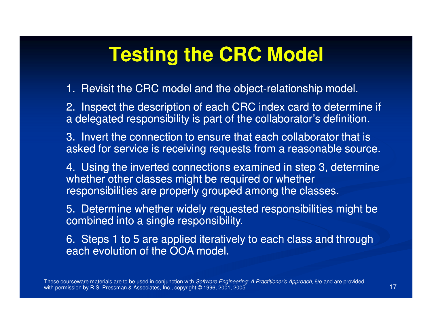### **Testing the CRC Model**

1. Revisit the CRC model and the object-relationship model.

2. Inspect the description of each CRC index card to determine if a delegated responsibility is part of the collaborator's definition.

3. Invert the connection to ensure that each collaborator that is asked for service is receiving requests from a reasonable source.

4. Using the inverted connections examined in step 3, determine whether other classes might be required or whether responsibilities are properly grouped among the classes.

5. Determine whether widely requested responsibilities might be combined into a single responsibility.

6. Steps 1 to 5 are applied iteratively to each class and through each evolution of the OOA model.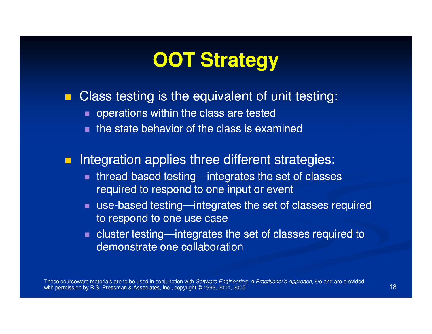## **OOT Strategy**

 $\blacksquare$ Class testing is the equivalent of unit testing:

- **operations within the class are tested**
- $\blacksquare$  the state behavior of the class is examined

 $\blacksquare$ Integration applies three different strategies:

- $\blacksquare$  thread-based testing—integrates the set of classes required to respond to one input or event
- $\blacksquare$  use-based testing—integrates the set of classes required to respond to one use case
- $\blacksquare$  cluster testing—integrates the set of classes required to demonstrate one collaboration

These courseware materials are to be used in conjunction with *Software Engineering: A Practitioner's Approach,* 6/e and are provided with permission by R.S. Pressman & Associates, Inc., copyright © 1996, 2001, 2005 $5$  (18)  $\frac{1}{2}$  (18)  $\frac{1}{2}$  (18)  $\frac{1}{2}$  (18)  $\frac{1}{2}$  (18)  $\frac{1}{2}$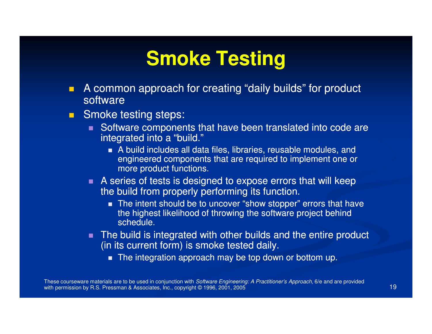### **Smoke Testing**

- A common approach for creating "daily builds" for product software
- **Smoke testing steps:**  $\blacksquare$ 
	- Software components that have been translated into code are integrated into a "build."
		- A build includes all data files, libraries, reusable modules, and engineered components that are required to implement one or more product functions.
	- A series of tests is designed to expose errors that will keep the build from properly performing its function.
		- The intent should be to uncover "show stopper" errors that have the highest likelihood of throwing the software project behind schedule.
	- The build is integrated with other builds and the entire product (in its current form) is smoke tested daily.
		- The integration approach may be top down or bottom up.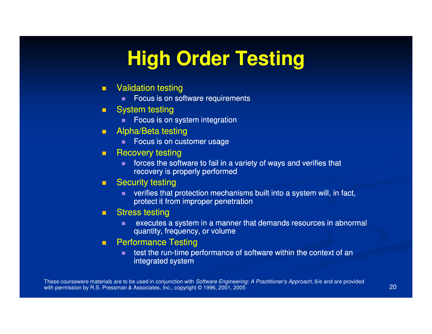### **High Order Testing**

- $\blacksquare$  Validation testing
	- Focus is on software requirements  $\blacksquare$
- $\blacksquare$  System testing
	- $\blacksquare$  Focus is on system integration
- $\blacksquare$  Alpha/Beta testing
	- Focus is on customer usage
- $\blacksquare$  Recovery testing
	- **forces the software to fail in a variety of ways and verifies that** ш recovery is properly performed
- $\blacksquare$  Security testing
	- **verifies that protection mechanisms built into a system will, in fact,** п. protect it from improper penetration
- $\blacksquare$  Stress testing
	- **EXECUTES** a system in a manner that demands resources in abnormal  $\blacksquare$ quantity, frequency, or volume
- $\blacksquare$  Performance Testing
	- test the run-time performance of software within the context of an  $\blacksquare$ integrated system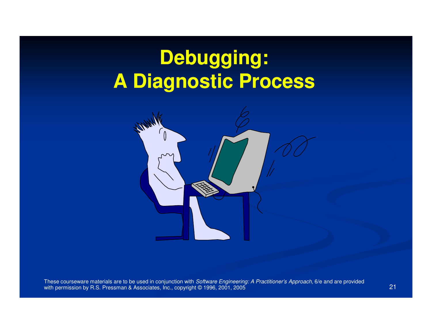## **Debugging: A Diagnostic Process**

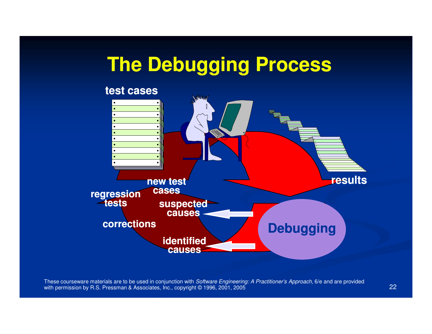### **The Debugging Process**

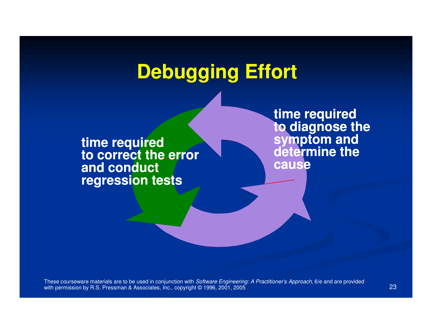### **Debugging Effort**

**time required to correct the errorand conductregression tests**

**time requiredto diagnose the symptom and determine thecause**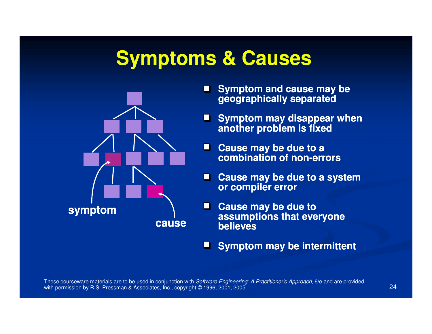### **Symptoms & Causes**



- **Symptom and cause may be geographically separated**
- **Symptom may disappear when another problem is fixed**
- **Cause may be due to a combination of non non-errors**
- **Cause may be due to a system or compiler error**
- **Cause may be due to assumptions that everyone believes**
- **Symptom may be intermittent**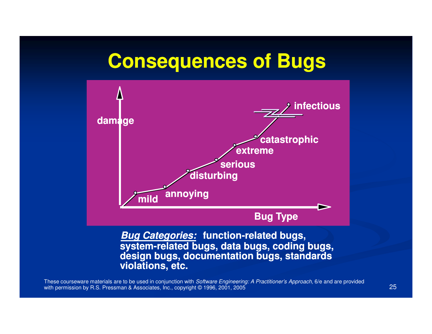### **Consequences of Bugs**



**Bug Categories: function function-related bugs, related**  system-related bugs, data bugs, coding bugs,<br>design bugs, documentation bugs, standards **violations, etc.**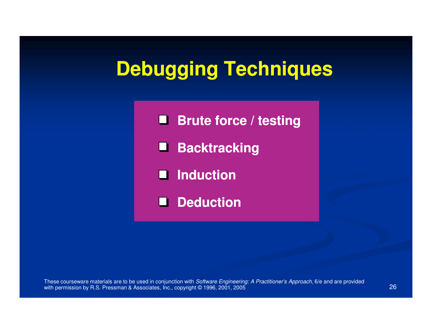### **Debugging Techniques**

**Brute force / testing** 

**Backtracking** 

**Induction**

**Deduction**